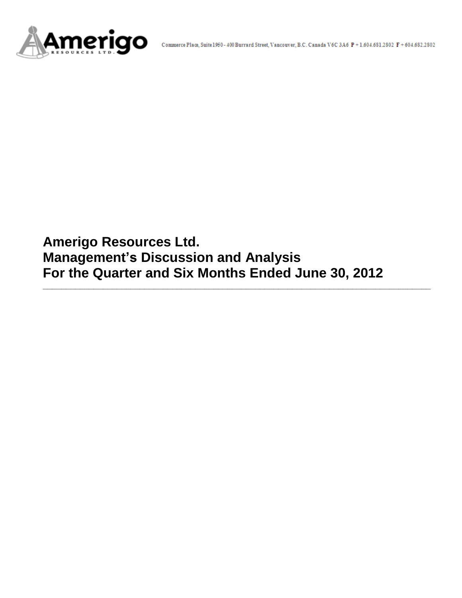

**Amerigo Resources Ltd. Management's Discussion and Analysis For the Quarter and Six Months Ended June 30, 2012**

**\_\_\_\_\_\_\_\_\_\_\_\_\_\_\_\_\_\_\_\_\_\_\_\_\_\_\_\_\_\_\_\_\_\_\_\_\_\_\_\_\_\_\_\_\_\_\_\_\_\_\_\_\_\_\_\_\_\_\_\_\_\_\_\_\_\_\_\_\_\_\_\_\_\_\_\_\_\_\_\_\_\_\_\_**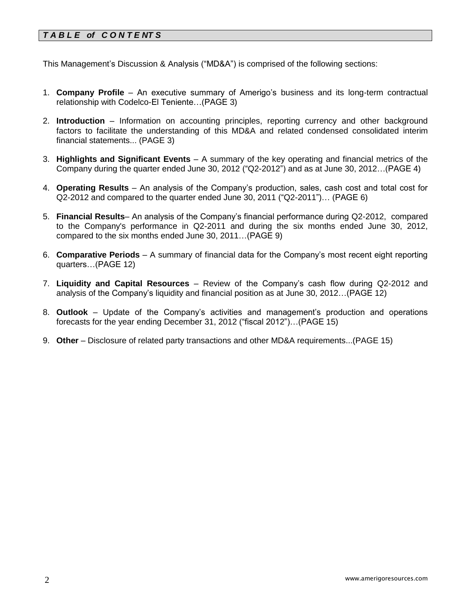# *T A B L E of C O N T E NT S*

This Management's Discussion & Analysis ("MD&A") is comprised of the following sections:

- 1. **Company Profile**  An executive summary of Amerigo's business and its long-term contractual relationship with Codelco-El Teniente…(PAGE 3)
- 2. **Introduction**  Information on accounting principles, reporting currency and other background factors to facilitate the understanding of this MD&A and related condensed consolidated interim financial statements... (PAGE 3)
- 3. **Highlights and Significant Events** A summary of the key operating and financial metrics of the Company during the quarter ended June 30, 2012 ("Q2-2012") and as at June 30, 2012…(PAGE 4)
- 4. **Operating Results** An analysis of the Company's production, sales, cash cost and total cost for Q2-2012 and compared to the quarter ended June 30, 2011 ("Q2-2011")… (PAGE 6)
- 5. **Financial Results** An analysis of the Company's financial performance during Q2-2012, compared to the Company's performance in Q2-2011 and during the six months ended June 30, 2012, compared to the six months ended June 30, 2011…(PAGE 9)
- 6. **Comparative Periods** A summary of financial data for the Company's most recent eight reporting quarters…(PAGE 12)
- 7. **Liquidity and Capital Resources** Review of the Company's cash flow during Q2-2012 and analysis of the Company's liquidity and financial position as at June 30, 2012…(PAGE 12)
- 8. **Outlook** Update of the Company's activities and management's production and operations forecasts for the year ending December 31, 2012 ("fiscal 2012")…(PAGE 15)
- 9. **Other** Disclosure of related party transactions and other MD&A requirements...(PAGE 15)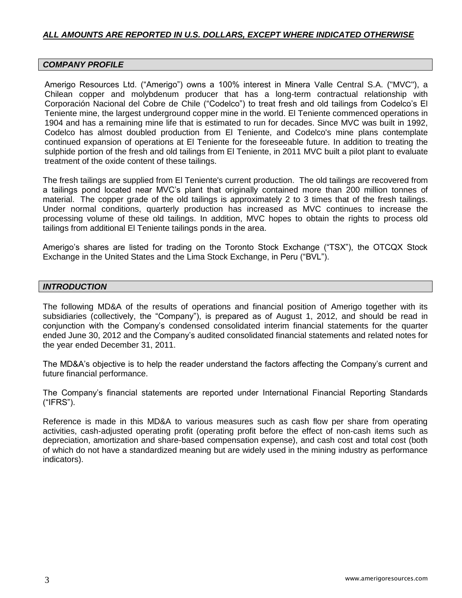# *ALL AMOUNTS ARE REPORTED IN U.S. DOLLARS, EXCEPT WHERE INDICATED OTHERWISE*

### *COMPANY PROFILE*

Amerigo Resources Ltd. ("Amerigo") owns a 100% interest in Minera Valle Central S.A. ("MVC"), a Chilean copper and molybdenum producer that has a long-term contractual relationship with Corporación Nacional del Cobre de Chile ("Codelco") to treat fresh and old tailings from Codelco's El Teniente mine, the largest underground copper mine in the world. El Teniente commenced operations in 1904 and has a remaining mine life that is estimated to run for decades. Since MVC was built in 1992, Codelco has almost doubled production from El Teniente, and Codelco's mine plans contemplate continued expansion of operations at El Teniente for the foreseeable future. In addition to treating the sulphide portion of the fresh and old tailings from El Teniente, in 2011 MVC built a pilot plant to evaluate treatment of the oxide content of these tailings.

The fresh tailings are supplied from El Teniente's current production. The old tailings are recovered from a tailings pond located near MVC's plant that originally contained more than 200 million tonnes of material. The copper grade of the old tailings is approximately 2 to 3 times that of the fresh tailings. Under normal conditions, quarterly production has increased as MVC continues to increase the processing volume of these old tailings. In addition, MVC hopes to obtain the rights to process old tailings from additional El Teniente tailings ponds in the area.

Amerigo's shares are listed for trading on the Toronto Stock Exchange ("TSX"), the OTCQX Stock Exchange in the United States and the Lima Stock Exchange, in Peru ("BVL").

## *INTRODUCTION*

The following MD&A of the results of operations and financial position of Amerigo together with its subsidiaries (collectively, the "Company"), is prepared as of August 1, 2012, and should be read in conjunction with the Company's condensed consolidated interim financial statements for the quarter ended June 30, 2012 and the Company's audited consolidated financial statements and related notes for the year ended December 31, 2011.

The MD&A's objective is to help the reader understand the factors affecting the Company's current and future financial performance.

The Company's financial statements are reported under International Financial Reporting Standards ("IFRS").

Reference is made in this MD&A to various measures such as cash flow per share from operating activities, cash-adjusted operating profit (operating profit before the effect of non-cash items such as depreciation, amortization and share-based compensation expense), and cash cost and total cost (both of which do not have a standardized meaning but are widely used in the mining industry as performance indicators).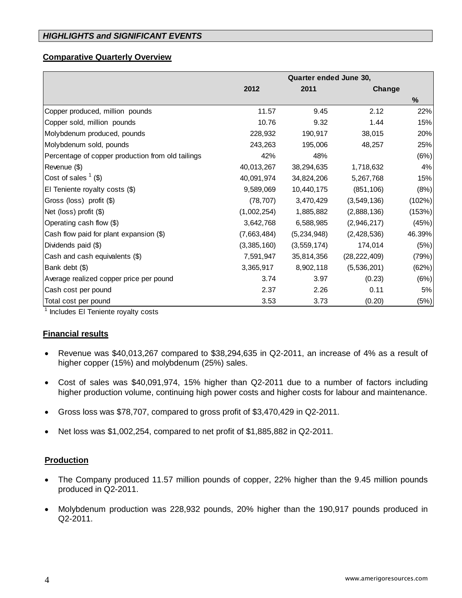# *HIGHLIGHTS and SIGNIFICANT EVENTS*

#### **Comparative Quarterly Overview**

|                                                   | Quarter ended June 30, |               |                |        |  |  |  |
|---------------------------------------------------|------------------------|---------------|----------------|--------|--|--|--|
|                                                   | 2012                   | 2011          | Change         |        |  |  |  |
|                                                   |                        |               |                | %      |  |  |  |
| Copper produced, million pounds                   | 11.57                  | 9.45          | 2.12           | 22%    |  |  |  |
| Copper sold, million pounds                       | 10.76                  | 9.32          | 1.44           | 15%    |  |  |  |
| Molybdenum produced, pounds                       | 228,932                | 190,917       | 38,015         | 20%    |  |  |  |
| Molybdenum sold, pounds                           | 243,263                | 195,006       | 48,257         | 25%    |  |  |  |
| Percentage of copper production from old tailings | 42%                    | 48%           |                | (6%)   |  |  |  |
| Revenue (\$)                                      | 40,013,267             | 38,294,635    | 1,718,632      | 4%     |  |  |  |
| Cost of sales $($ 1 (\$)                          | 40,091,974             | 34,824,206    | 5,267,768      | 15%    |  |  |  |
| El Teniente royalty costs (\$)                    | 9,589,069              | 10,440,175    | (851, 106)     | (8%)   |  |  |  |
| Gross (loss) profit (\$)                          | (78, 707)              | 3,470,429     | (3,549,136)    | (102%) |  |  |  |
| Net (loss) profit (\$)                            | (1,002,254)            | 1,885,882     | (2,888,136)    | (153%) |  |  |  |
| Operating cash flow (\$)                          | 3,642,768              | 6,588,985     | (2,946,217)    | (45%)  |  |  |  |
| Cash flow paid for plant expansion (\$)           | (7,663,484)            | (5,234,948)   | (2,428,536)    | 46.39% |  |  |  |
| Dividends paid (\$)                               | (3,385,160)            | (3, 559, 174) | 174,014        | (5%)   |  |  |  |
| Cash and cash equivalents (\$)                    | 7,591,947              | 35,814,356    | (28, 222, 409) | (79%)  |  |  |  |
| Bank debt (\$)                                    | 3,365,917              | 8,902,118     | (5,536,201)    | (62%)  |  |  |  |
| Average realized copper price per pound           | 3.74                   | 3.97          | (0.23)         | (6%)   |  |  |  |
| Cash cost per pound                               | 2.37                   | 2.26          | 0.11           | 5%     |  |  |  |
| Total cost per pound                              | 3.53                   | 3.73          | (0.20)         | (5%)   |  |  |  |

<sup>1</sup> Includes El Teniente royalty costs

### **Financial results**

- Revenue was \$40,013,267 compared to \$38,294,635 in Q2-2011, an increase of 4% as a result of higher copper (15%) and molybdenum (25%) sales.
- Cost of sales was \$40,091,974, 15% higher than Q2-2011 due to a number of factors including higher production volume, continuing high power costs and higher costs for labour and maintenance.
- Gross loss was \$78,707, compared to gross profit of \$3,470,429 in Q2-2011.
- Net loss was \$1,002,254, compared to net profit of \$1,885,882 in Q2-2011.

### **Production**

- The Company produced 11.57 million pounds of copper, 22% higher than the 9.45 million pounds produced in Q2-2011.
- Molybdenum production was 228,932 pounds, 20% higher than the 190,917 pounds produced in Q2-2011.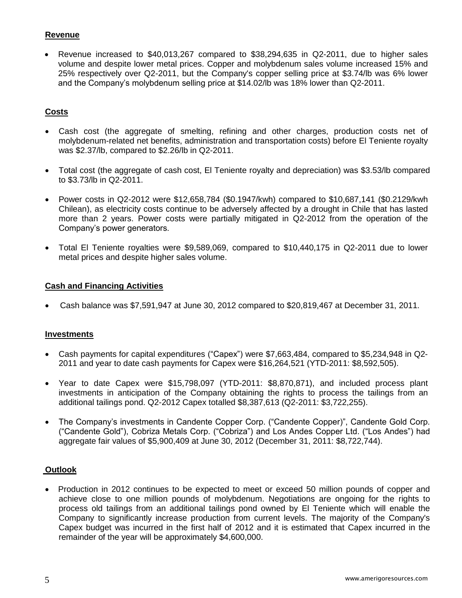# **Revenue**

 Revenue increased to \$40,013,267 compared to \$38,294,635 in Q2-2011, due to higher sales volume and despite lower metal prices. Copper and molybdenum sales volume increased 15% and 25% respectively over Q2-2011, but the Company's copper selling price at \$3.74/lb was 6% lower and the Company's molybdenum selling price at \$14.02/lb was 18% lower than Q2-2011.

# **Costs**

- Cash cost (the aggregate of smelting, refining and other charges, production costs net of molybdenum-related net benefits, administration and transportation costs) before El Teniente royalty was \$2.37/lb, compared to \$2.26/lb in Q2-2011.
- Total cost (the aggregate of cash cost, El Teniente royalty and depreciation) was \$3.53/lb compared to \$3.73/lb in Q2-2011.
- Power costs in Q2-2012 were \$12,658,784 (\$0.1947/kwh) compared to \$10,687,141 (\$0.2129/kwh Chilean), as electricity costs continue to be adversely affected by a drought in Chile that has lasted more than 2 years. Power costs were partially mitigated in Q2-2012 from the operation of the Company's power generators.
- Total El Teniente royalties were \$9,589,069, compared to \$10,440,175 in Q2-2011 due to lower metal prices and despite higher sales volume.

# **Cash and Financing Activities**

Cash balance was \$7,591,947 at June 30, 2012 compared to \$20,819,467 at December 31, 2011.

# **Investments**

- Cash payments for capital expenditures ("Capex") were \$7,663,484, compared to \$5,234,948 in Q2- 2011 and year to date cash payments for Capex were \$16,264,521 (YTD-2011: \$8,592,505).
- Year to date Capex were \$15,798,097 (YTD-2011: \$8,870,871), and included process plant investments in anticipation of the Company obtaining the rights to process the tailings from an additional tailings pond. Q2-2012 Capex totalled \$8,387,613 (Q2-2011: \$3,722,255).
- The Company's investments in Candente Copper Corp. ("Candente Copper)", Candente Gold Corp. ("Candente Gold"), Cobriza Metals Corp. ("Cobriza") and Los Andes Copper Ltd. ("Los Andes") had aggregate fair values of \$5,900,409 at June 30, 2012 (December 31, 2011: \$8,722,744).

# **Outlook**

• Production in 2012 continues to be expected to meet or exceed 50 million pounds of copper and achieve close to one million pounds of molybdenum. Negotiations are ongoing for the rights to process old tailings from an additional tailings pond owned by El Teniente which will enable the Company to significantly increase production from current levels. The majority of the Company's Capex budget was incurred in the first half of 2012 and it is estimated that Capex incurred in the remainder of the year will be approximately \$4,600,000.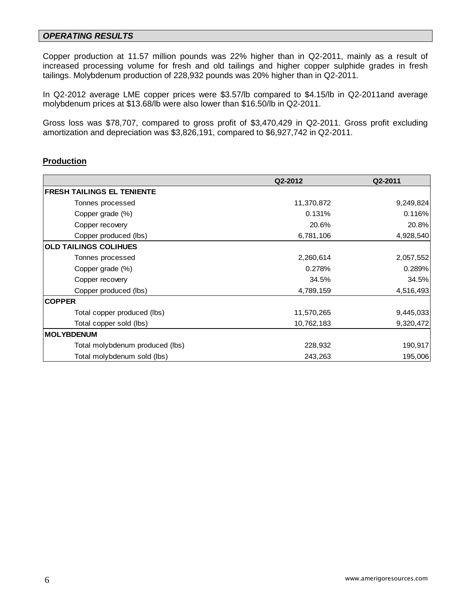## *OPERATING RESULTS*

Copper production at 11.57 million pounds was 22% higher than in Q2-2011, mainly as a result of increased processing volume for fresh and old tailings and higher copper sulphide grades in fresh tailings. Molybdenum production of 228,932 pounds was 20% higher than in Q2-2011.

In Q2-2012 average LME copper prices were \$3.57/lb compared to \$4.15/lb in Q2-2011and average molybdenum prices at \$13.68/lb were also lower than \$16.50/lb in Q2-2011.

Gross loss was \$78,707, compared to gross profit of \$3,470,429 in Q2-2011. Gross profit excluding amortization and depreciation was \$3,826,191, compared to \$6,927,742 in Q2-2011.

## **Production**

|                                   | Q2-2012    | Q2-2011   |
|-----------------------------------|------------|-----------|
| <b>FRESH TAILINGS EL TENIENTE</b> |            |           |
| Tonnes processed                  | 11,370,872 | 9,249,824 |
| Copper grade (%)                  | 0.131%     | 0.116%    |
| Copper recovery                   | 20.6%      | 20.8%     |
| Copper produced (lbs)             | 6,781,106  | 4,928,540 |
| <b>OLD TAILINGS COLIHUES</b>      |            |           |
| Tonnes processed                  | 2,260,614  | 2,057,552 |
| Copper grade (%)                  | 0.278%     | 0.289%    |
| Copper recovery                   | 34.5%      | 34.5%     |
| Copper produced (lbs)             | 4,789,159  | 4,516,493 |
| <b>COPPER</b>                     |            |           |
| Total copper produced (lbs)       | 11,570,265 | 9,445,033 |
| Total copper sold (lbs)           | 10,762,183 | 9,320,472 |
| <b>MOLYBDENUM</b>                 |            |           |
| Total molybdenum produced (lbs)   | 228,932    | 190,917   |
| Total molybdenum sold (lbs)       | 243,263    | 195,006   |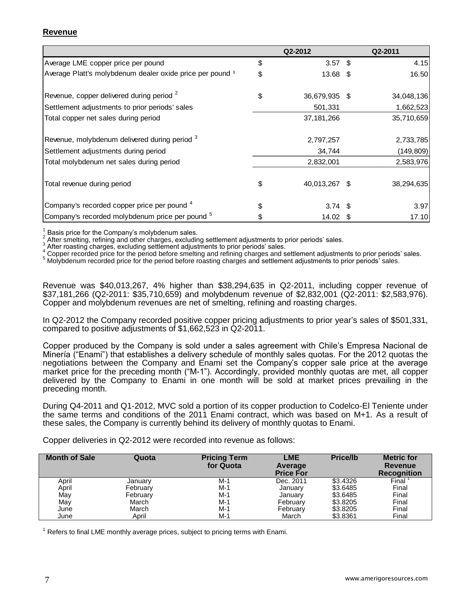# **Revenue**

|                                                            |    | Q2-2012             | Q2-2011    |
|------------------------------------------------------------|----|---------------------|------------|
| Average LME copper price per pound                         | \$ | $3.57$ \$           | 4.15       |
| Average Platt's molybdenum dealer oxide price per pound 1  | \$ | 13.68 \$            | 16.50      |
| Revenue, copper delivered during period <sup>2</sup>       | \$ | 36,679,935 \$       | 34,048,136 |
| Settlement adjustments to prior periods' sales             |    | 501,331             | 1,662,523  |
| Total copper net sales during period                       |    | 37, 181, 266        | 35,710,659 |
| Revenue, molybdenum delivered during period 3              |    | 2,797,257           | 2,733,785  |
| Settlement adjustments during period                       |    | 34,744              | (149, 809) |
| Total molybdenum net sales during period                   |    | 2,832,001           | 2,583,976  |
| Total revenue during period                                | \$ | 40,013,267 \$       | 38,294,635 |
| Company's recorded copper price per pound 4                | S  | $3.74$ \$           | 3.97       |
| Company's recorded molybdenum price per pound <sup>5</sup> |    | $14.02 \text{ }$ \$ | 17.10      |

1 Basis price for the Company's molybdenum sales.

2 After smelting, refining and other charges, excluding settlement adjustments to prior periods' sales. 3

After roasting charges, excluding settlement adjustments to prior periods' sales.

<sup>4</sup> Copper recorded price for the period before smelting and refining charges and settlement adjustments to prior periods' sales.

<sup>5</sup> Molybdenum recorded price for the period before roasting charges and settlement adjustments to prior periods' sales.

Revenue was \$40,013,267, 4% higher than \$38,294,635 in Q2-2011, including copper revenue of \$37,181,266 (Q2-2011: \$35,710,659) and molybdenum revenue of \$2,832,001 (Q2-2011: \$2,583,976). Copper and molybdenum revenues are net of smelting, refining and roasting charges.

In Q2-2012 the Company recorded positive copper pricing adjustments to prior year's sales of \$501,331, compared to positive adjustments of \$1,662,523 in Q2-2011.

Copper produced by the Company is sold under a sales agreement with Chile's Empresa Nacional de Minería ("Enami") that establishes a delivery schedule of monthly sales quotas. For the 2012 quotas the negotiations between the Company and Enami set the Company's copper sale price at the average market price for the preceding month ("M-1"). Accordingly, provided monthly quotas are met, all copper delivered by the Company to Enami in one month will be sold at market prices prevailing in the preceding month.

During Q4-2011 and Q1-2012, MVC sold a portion of its copper production to Codelco-El Teniente under the same terms and conditions of the 2011 Enami contract, which was based on M+1. As a result of these sales, the Company is currently behind its delivery of monthly quotas to Enami.

Copper deliveries in Q2-2012 were recorded into revenue as follows:

| <b>Month of Sale</b> | Quota    | <b>Pricing Term</b><br>for Quota | LME<br>Average<br><b>Price For</b> | <b>Price/lb</b> | <b>Metric for</b><br>Revenue<br><b>Recognition</b> |
|----------------------|----------|----------------------------------|------------------------------------|-----------------|----------------------------------------------------|
| April                | January  | M-1                              | Dec. 2011                          | \$3,4326        | Final                                              |
| April                | February | $M-1$                            | January                            | \$3.6485        | Final                                              |
| May                  | February | $M-1$                            | January                            | \$3.6485        | Final                                              |
| May                  | March    | $M-1$                            | February                           | \$3,8205        | Final                                              |
| June                 | March    | $M-1$                            | February                           | \$3,8205        | Final                                              |
| June                 | April    | $M-1$                            | March                              | \$3.8361        | Final                                              |

 $1$  Refers to final LME monthly average prices, subject to pricing terms with Enami.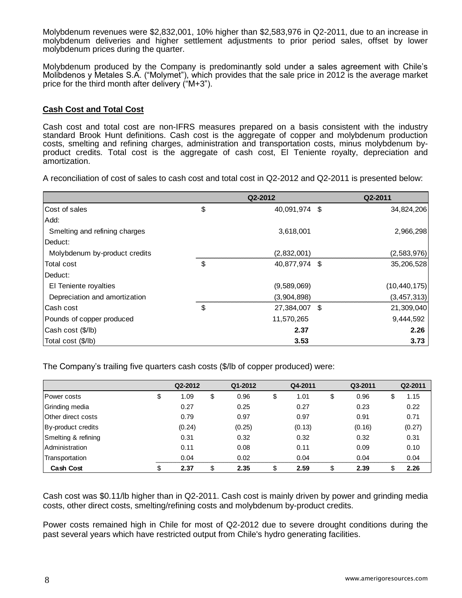Molybdenum revenues were \$2,832,001, 10% higher than \$2,583,976 in Q2-2011, due to an increase in molybdenum deliveries and higher settlement adjustments to prior period sales, offset by lower molybdenum prices during the quarter.

Molybdenum produced by the Company is predominantly sold under a sales agreement with Chile's Molibdenos y Metales S.A. ("Molymet"), which provides that the sale price in 2012 is the average market price for the third month after delivery ("M+3").

## **Cash Cost and Total Cost**

Cash cost and total cost are non-IFRS measures prepared on a basis consistent with the industry standard Brook Hunt definitions. Cash cost is the aggregate of copper and molybdenum production costs, smelting and refining charges, administration and transportation costs, minus molybdenum byproduct credits. Total cost is the aggregate of cash cost, El Teniente royalty, depreciation and amortization.

A reconciliation of cost of sales to cash cost and total cost in Q2-2012 and Q2-2011 is presented below:

|                               | Q2-2012             |      | Q2-2011        |
|-------------------------------|---------------------|------|----------------|
| Cost of sales                 | \$<br>40,091,974    | - \$ | 34,824,206     |
| Add:                          |                     |      |                |
| Smelting and refining charges | 3,618,001           |      | 2,966,298      |
| Deduct:                       |                     |      |                |
| Molybdenum by-product credits | (2,832,001)         |      | (2,583,976)    |
| Total cost                    | \$<br>40,877,974 \$ |      | 35,206,528     |
| Deduct:                       |                     |      |                |
| El Teniente royalties         | (9,589,069)         |      | (10, 440, 175) |
| Depreciation and amortization | (3,904,898)         |      | (3,457,313)    |
| Cash cost                     | \$<br>27,384,007    | - \$ | 21,309,040     |
| Pounds of copper produced     | 11,570,265          |      | 9,444,592      |
| Cash cost (\$/lb)             | 2.37                |      | 2.26           |
| Total cost (\$/lb)            | 3.53                |      | 3.73           |

The Company's trailing five quarters cash costs (\$/lb of copper produced) were:

|                           | Q2-2012    | Q1-2012    | Q4-2011    | Q3-2011    |   | Q2-2011 |
|---------------------------|------------|------------|------------|------------|---|---------|
| <b>IPower costs</b>       | \$<br>1.09 | \$<br>0.96 | \$<br>1.01 | \$<br>0.96 | S | 1.15    |
| Grinding media            | 0.27       | 0.25       | 0.27       | 0.23       |   | 0.22    |
| <b>Other direct costs</b> | 0.79       | 0.97       | 0.97       | 0.91       |   | 0.71    |
| By-product credits        | (0.24)     | (0.25)     | (0.13)     | (0.16)     |   | (0.27)  |
| Smelting & refining       | 0.31       | 0.32       | 0.32       | 0.32       |   | 0.31    |
| <b>Administration</b>     | 0.11       | 0.08       | 0.11       | 0.09       |   | 0.10    |
| Transportation            | 0.04       | 0.02       | 0.04       | 0.04       |   | 0.04    |
| <b>Cash Cost</b>          | \$<br>2.37 | \$<br>2.35 | \$<br>2.59 | \$<br>2.39 |   | 2.26    |

Cash cost was \$0.11/lb higher than in Q2-2011. Cash cost is mainly driven by power and grinding media costs, other direct costs, smelting/refining costs and molybdenum by-product credits.

Power costs remained high in Chile for most of Q2-2012 due to severe drought conditions during the past several years which have restricted output from Chile's hydro generating facilities.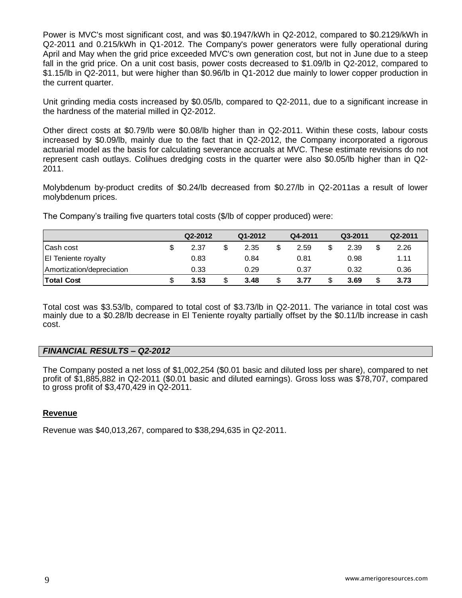Power is MVC's most significant cost, and was \$0.1947/kWh in Q2-2012, compared to \$0.2129/kWh in Q2-2011 and 0.215/kWh in Q1-2012. The Company's power generators were fully operational during April and May when the grid price exceeded MVC's own generation cost, but not in June due to a steep fall in the grid price. On a unit cost basis, power costs decreased to \$1.09/lb in Q2-2012, compared to \$1.15/lb in Q2-2011, but were higher than \$0.96/lb in Q1-2012 due mainly to lower copper production in the current quarter.

Unit grinding media costs increased by \$0.05/lb, compared to Q2-2011, due to a significant increase in the hardness of the material milled in Q2-2012.

Other direct costs at \$0.79/lb were \$0.08/lb higher than in Q2-2011. Within these costs, labour costs increased by \$0.09/lb, mainly due to the fact that in Q2-2012, the Company incorporated a rigorous actuarial model as the basis for calculating severance accruals at MVC. These estimate revisions do not represent cash outlays. Colihues dredging costs in the quarter were also \$0.05/lb higher than in Q2- 2011.

Molybdenum by-product credits of \$0.24/lb decreased from \$0.27/lb in Q2-2011as a result of lower molybdenum prices.

The Company's trailing five quarters total costs (\$/lb of copper produced) were:

|                            | Q2-2012 | Q1-2012 | Q4-2011 | Q3-2011 | Q2-2011 |
|----------------------------|---------|---------|---------|---------|---------|
| Cash cost                  | 2.37    | 2.35    | 2.59    | 2.39    | 2.26    |
| <b>El Teniente royalty</b> | 0.83    | 0.84    | 0.81    | 0.98    | 1.11    |
| Amortization/depreciation  | 0.33    | 0.29    | 0.37    | 0.32    | 0.36    |
| <b>Total Cost</b>          | 3.53    | 3.48    | 3.77    | 3.69    | 3.73    |

Total cost was \$3.53/lb, compared to total cost of \$3.73/lb in Q2-2011. The variance in total cost was mainly due to a \$0.28/lb decrease in El Teniente royalty partially offset by the \$0.11/lb increase in cash cost.

# *FINANCIAL RESULTS – Q2-2012*

The Company posted a net loss of \$1,002,254 (\$0.01 basic and diluted loss per share), compared to net profit of \$1,885,882 in Q2-2011 (\$0.01 basic and diluted earnings). Gross loss was \$78,707, compared to gross profit of \$3,470,429 in Q2-2011.

### **Revenue**

Revenue was \$40,013,267, compared to \$38,294,635 in Q2-2011.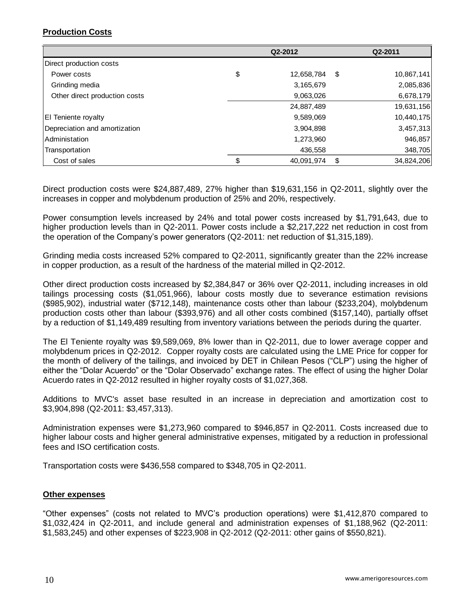# **Production Costs**

|                               |    | Q2-2012    |      | Q2-2011    |  |  |
|-------------------------------|----|------------|------|------------|--|--|
| Direct production costs       |    |            |      |            |  |  |
| Power costs                   | \$ | 12,658,784 | - \$ | 10,867,141 |  |  |
| Grinding media                |    | 3,165,679  |      | 2,085,836  |  |  |
| Other direct production costs |    | 9,063,026  |      | 6,678,179  |  |  |
|                               |    | 24,887,489 |      | 19,631,156 |  |  |
| <b>El Teniente royalty</b>    |    | 9,589,069  |      | 10,440,175 |  |  |
| Depreciation and amortization |    | 3,904,898  |      | 3,457,313  |  |  |
| <b>Administation</b>          |    | 1,273,960  |      | 946,857    |  |  |
| Transportation                |    | 436,558    |      | 348,705    |  |  |
| Cost of sales                 | S. | 40,091,974 | \$   | 34,824,206 |  |  |

Direct production costs were \$24,887,489, 27% higher than \$19,631,156 in Q2-2011, slightly over the increases in copper and molybdenum production of 25% and 20%, respectively.

Power consumption levels increased by 24% and total power costs increased by \$1,791,643, due to higher production levels than in Q2-2011. Power costs include a \$2,217,222 net reduction in cost from the operation of the Company's power generators (Q2-2011: net reduction of \$1,315,189).

Grinding media costs increased 52% compared to Q2-2011, significantly greater than the 22% increase in copper production, as a result of the hardness of the material milled in Q2-2012.

Other direct production costs increased by \$2,384,847 or 36% over Q2-2011, including increases in old tailings processing costs (\$1,051,966), labour costs mostly due to severance estimation revisions (\$985,902), industrial water (\$712,148), maintenance costs other than labour (\$233,204), molybdenum production costs other than labour (\$393,976) and all other costs combined (\$157,140), partially offset by a reduction of \$1,149,489 resulting from inventory variations between the periods during the quarter.

The El Teniente royalty was \$9,589,069, 8% lower than in Q2-2011, due to lower average copper and molybdenum prices in Q2-2012. Copper royalty costs are calculated using the LME Price for copper for the month of delivery of the tailings, and invoiced by DET in Chilean Pesos ("CLP") using the higher of either the "Dolar Acuerdo" or the "Dolar Observado" exchange rates. The effect of using the higher Dolar Acuerdo rates in Q2-2012 resulted in higher royalty costs of \$1,027,368.

Additions to MVC's asset base resulted in an increase in depreciation and amortization cost to \$3,904,898 (Q2-2011: \$3,457,313).

Administration expenses were \$1,273,960 compared to \$946,857 in Q2-2011. Costs increased due to higher labour costs and higher general administrative expenses, mitigated by a reduction in professional fees and ISO certification costs.

Transportation costs were \$436,558 compared to \$348,705 in Q2-2011.

### **Other expenses**

"Other expenses" (costs not related to MVC's production operations) were \$1,412,870 compared to \$1,032,424 in Q2-2011, and include general and administration expenses of \$1,188,962 (Q2-2011: \$1,583,245) and other expenses of \$223,908 in Q2-2012 (Q2-2011: other gains of \$550,821).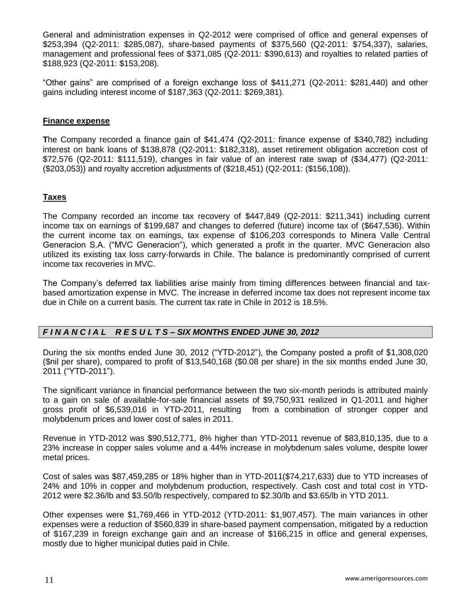General and administration expenses in Q2-2012 were comprised of office and general expenses of \$253,394 (Q2-2011: \$285,087), share-based payments of \$375,560 (Q2-2011: \$754,337), salaries, management and professional fees of \$371,085 (Q2-2011: \$390,613) and royalties to related parties of \$188,923 (Q2-2011: \$153,208).

"Other gains" are comprised of a foreign exchange loss of \$411,271 (Q2-2011: \$281,440) and other gains including interest income of \$187,363 (Q2-2011: \$269,381).

## **Finance expense**

**T**he Company recorded a finance gain of \$41,474 (Q2-2011: finance expense of \$340,782) including interest on bank loans of \$138,878 (Q2-2011: \$182,318), asset retirement obligation accretion cost of \$72,576 (Q2-2011: \$111,519), changes in fair value of an interest rate swap of (\$34,477) (Q2-2011: (\$203,053)) and royalty accretion adjustments of (\$218,451) (Q2-2011: (\$156,108)).

# **Taxes**

The Company recorded an income tax recovery of \$447,849 (Q2-2011: \$211,341) including current income tax on earnings of \$199,687 and changes to deferred (future) income tax of (\$647,536). Within the current income tax on earnings, tax expense of \$106,203 corresponds to Minera Valle Central Generacion S.A. ("MVC Generacion"), which generated a profit in the quarter. MVC Generacion also utilized its existing tax loss carry-forwards in Chile. The balance is predominantly comprised of current income tax recoveries in MVC.

The Company's deferred tax liabilities arise mainly from timing differences between financial and taxbased amortization expense in MVC. The increase in deferred income tax does not represent income tax due in Chile on a current basis. The current tax rate in Chile in 2012 is 18.5%.

# *F I N A N C I A L R E S U L T S – SIX MONTHS ENDED JUNE 30, 2012*

During the six months ended June 30, 2012 ("YTD-2012"), the Company posted a profit of \$1,308,020 (\$nil per share), compared to profit of \$13,540,168 (\$0.08 per share) in the six months ended June 30, 2011 ("YTD-2011").

The significant variance in financial performance between the two six-month periods is attributed mainly to a gain on sale of available-for-sale financial assets of \$9,750,931 realized in Q1-2011 and higher gross profit of \$6,539,016 in YTD-2011, resulting from a combination of stronger copper and molybdenum prices and lower cost of sales in 2011.

Revenue in YTD-2012 was \$90,512,771, 8% higher than YTD-2011 revenue of \$83,810,135, due to a 23% increase in copper sales volume and a 44% increase in molybdenum sales volume, despite lower metal prices.

Cost of sales was \$87,459,285 or 18% higher than in YTD-2011(\$74,217,633) due to YTD increases of 24% and 10% in copper and molybdenum production, respectively. Cash cost and total cost in YTD-2012 were \$2.36/lb and \$3.50/lb respectively, compared to \$2.30/lb and \$3.65/lb in YTD 2011.

Other expenses were \$1,769,466 in YTD-2012 (YTD-2011: \$1,907,457). The main variances in other expenses were a reduction of \$560,839 in share-based payment compensation, mitigated by a reduction of \$167,239 in foreign exchange gain and an increase of \$166,215 in office and general expenses, mostly due to higher municipal duties paid in Chile.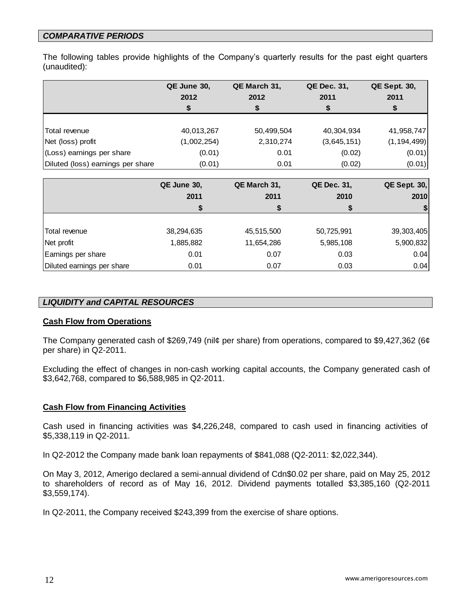# *COMPARATIVE PERIODS*

The following tables provide highlights of the Company's quarterly results for the past eight quarters (unaudited):

|                                   | QE June 30, | QE March 31, | QE Dec. 31, | <b>QE Sept. 30,</b> |
|-----------------------------------|-------------|--------------|-------------|---------------------|
|                                   | 2012        | 2012         | 2011        | 2011                |
|                                   | S           |              |             | \$                  |
|                                   |             |              |             |                     |
| Total revenue                     | 40,013,267  | 50,499,504   | 40,304,934  | 41,958,747          |
| Net (loss) profit                 | (1,002,254) | 2,310,274    | (3,645,151) | (1, 194, 499)       |
| (Loss) earnings per share         | (0.01)      | 0.01         | (0.02)      | (0.01)              |
| Diluted (loss) earnings per share | (0.01)      | 0.01         | (0.02)      | (0.01)              |

|                            | QE June 30, | QE March 31, | QE Dec. 31, | $QE$ Sept. 30, |
|----------------------------|-------------|--------------|-------------|----------------|
|                            | 2011        | 2011         | 2010        | 2010           |
|                            | S           |              |             |                |
|                            |             |              |             |                |
| Total revenue              | 38,294,635  | 45,515,500   | 50,725,991  | 39, 303, 405   |
| Net profit                 | 1,885,882   | 11,654,286   | 5,985,108   | 5,900,832      |
| Earnings per share         | 0.01        | 0.07         | 0.03        | 0.04           |
| Diluted earnings per share | 0.01        | 0.07         | 0.03        | 0.04           |

## *LIQUIDITY and CAPITAL RESOURCES*

### **Cash Flow from Operations**

The Company generated cash of \$269,749 (nil¢ per share) from operations, compared to \$9,427,362 (6¢ per share) in Q2-2011.

Excluding the effect of changes in non-cash working capital accounts, the Company generated cash of \$3,642,768, compared to \$6,588,985 in Q2-2011.

# **Cash Flow from Financing Activities**

Cash used in financing activities was \$4,226,248, compared to cash used in financing activities of \$5,338,119 in Q2-2011.

In Q2-2012 the Company made bank loan repayments of \$841,088 (Q2-2011: \$2,022,344).

On May 3, 2012, Amerigo declared a semi-annual dividend of Cdn\$0.02 per share, paid on May 25, 2012 to shareholders of record as of May 16, 2012. Dividend payments totalled \$3,385,160 (Q2-2011 \$3,559,174).

In Q2-2011, the Company received \$243,399 from the exercise of share options.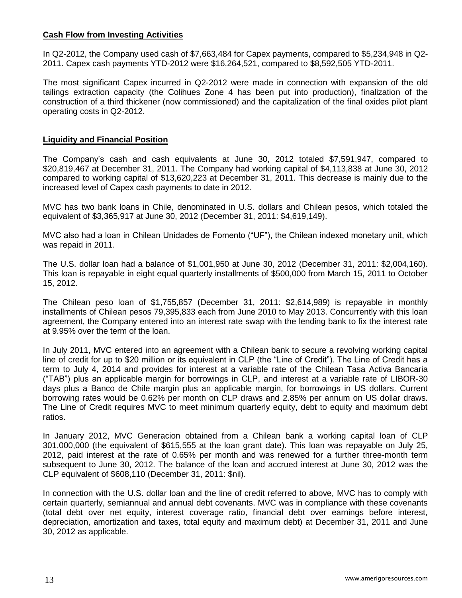## **Cash Flow from Investing Activities**

In Q2-2012, the Company used cash of \$7,663,484 for Capex payments, compared to \$5,234,948 in Q2- 2011. Capex cash payments YTD-2012 were \$16,264,521, compared to \$8,592,505 YTD-2011.

The most significant Capex incurred in Q2-2012 were made in connection with expansion of the old tailings extraction capacity (the Colihues Zone 4 has been put into production), finalization of the construction of a third thickener (now commissioned) and the capitalization of the final oxides pilot plant operating costs in Q2-2012.

### **Liquidity and Financial Position**

The Company's cash and cash equivalents at June 30, 2012 totaled \$7,591,947, compared to \$20,819,467 at December 31, 2011. The Company had working capital of \$4,113,838 at June 30, 2012 compared to working capital of \$13,620,223 at December 31, 2011. This decrease is mainly due to the increased level of Capex cash payments to date in 2012.

MVC has two bank loans in Chile, denominated in U.S. dollars and Chilean pesos, which totaled the equivalent of \$3,365,917 at June 30, 2012 (December 31, 2011: \$4,619,149).

MVC also had a loan in Chilean Unidades de Fomento ("UF"), the Chilean indexed monetary unit, which was repaid in 2011.

The U.S. dollar loan had a balance of \$1,001,950 at June 30, 2012 (December 31, 2011: \$2,004,160). This loan is repayable in eight equal quarterly installments of \$500,000 from March 15, 2011 to October 15, 2012.

The Chilean peso loan of \$1,755,857 (December 31, 2011: \$2,614,989) is repayable in monthly installments of Chilean pesos 79,395,833 each from June 2010 to May 2013. Concurrently with this loan agreement, the Company entered into an interest rate swap with the lending bank to fix the interest rate at 9.95% over the term of the loan.

In July 2011, MVC entered into an agreement with a Chilean bank to secure a revolving working capital line of credit for up to \$20 million or its equivalent in CLP (the "Line of Credit"). The Line of Credit has a term to July 4, 2014 and provides for interest at a variable rate of the Chilean Tasa Activa Bancaria ("TAB") plus an applicable margin for borrowings in CLP, and interest at a variable rate of LIBOR-30 days plus a Banco de Chile margin plus an applicable margin, for borrowings in US dollars. Current borrowing rates would be 0.62% per month on CLP draws and 2.85% per annum on US dollar draws. The Line of Credit requires MVC to meet minimum quarterly equity, debt to equity and maximum debt ratios.

In January 2012, MVC Generacion obtained from a Chilean bank a working capital loan of CLP 301,000,000 (the equivalent of \$615,555 at the loan grant date). This loan was repayable on July 25, 2012, paid interest at the rate of 0.65% per month and was renewed for a further three-month term subsequent to June 30, 2012. The balance of the loan and accrued interest at June 30, 2012 was the CLP equivalent of \$608,110 (December 31, 2011: \$nil).

In connection with the U.S. dollar loan and the line of credit referred to above, MVC has to comply with certain quarterly, semiannual and annual debt covenants. MVC was in compliance with these covenants (total debt over net equity, interest coverage ratio, financial debt over earnings before interest, depreciation, amortization and taxes, total equity and maximum debt) at December 31, 2011 and June 30, 2012 as applicable.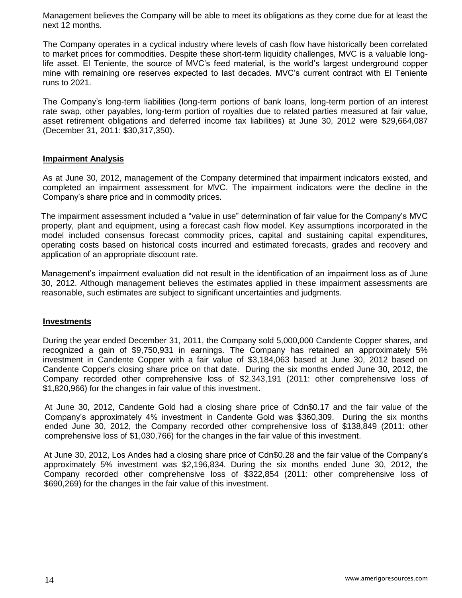Management believes the Company will be able to meet its obligations as they come due for at least the next 12 months.

The Company operates in a cyclical industry where levels of cash flow have historically been correlated to market prices for commodities. Despite these short-term liquidity challenges, MVC is a valuable longlife asset. El Teniente, the source of MVC's feed material, is the world's largest underground copper mine with remaining ore reserves expected to last decades. MVC's current contract with El Teniente runs to 2021.

The Company's long-term liabilities (long-term portions of bank loans, long-term portion of an interest rate swap, other payables, long-term portion of royalties due to related parties measured at fair value, asset retirement obligations and deferred income tax liabilities) at June 30, 2012 were \$29,664,087 (December 31, 2011: \$30,317,350).

## **Impairment Analysis**

As at June 30, 2012, management of the Company determined that impairment indicators existed, and completed an impairment assessment for MVC. The impairment indicators were the decline in the Company's share price and in commodity prices.

The impairment assessment included a "value in use" determination of fair value for the Company's MVC property, plant and equipment, using a forecast cash flow model. Key assumptions incorporated in the model included consensus forecast commodity prices, capital and sustaining capital expenditures, operating costs based on historical costs incurred and estimated forecasts, grades and recovery and application of an appropriate discount rate.

Management's impairment evaluation did not result in the identification of an impairment loss as of June 30, 2012. Although management believes the estimates applied in these impairment assessments are reasonable, such estimates are subject to significant uncertainties and judgments.

### **Investments**

During the year ended December 31, 2011, the Company sold 5,000,000 Candente Copper shares, and recognized a gain of \$9,750,931 in earnings. The Company has retained an approximately 5% investment in Candente Copper with a fair value of \$3,184,063 based at June 30, 2012 based on Candente Copper's closing share price on that date. During the six months ended June 30, 2012, the Company recorded other comprehensive loss of \$2,343,191 (2011: other comprehensive loss of \$1,820,966) for the changes in fair value of this investment.

At June 30, 2012, Candente Gold had a closing share price of Cdn\$0.17 and the fair value of the Company's approximately 4% investment in Candente Gold was \$360,309. During the six months ended June 30, 2012, the Company recorded other comprehensive loss of \$138,849 (2011: other comprehensive loss of \$1,030,766) for the changes in the fair value of this investment.

At June 30, 2012, Los Andes had a closing share price of Cdn\$0.28 and the fair value of the Company's approximately 5% investment was \$2,196,834. During the six months ended June 30, 2012, the Company recorded other comprehensive loss of \$322,854 (2011: other comprehensive loss of \$690,269) for the changes in the fair value of this investment.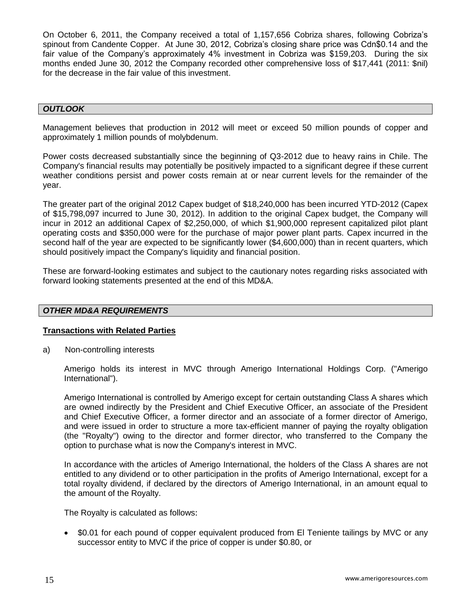On October 6, 2011, the Company received a total of 1,157,656 Cobriza shares, following Cobriza's spinout from Candente Copper. At June 30, 2012, Cobriza's closing share price was Cdn\$0.14 and the fair value of the Company's approximately 4% investment in Cobriza was \$159,203. During the six months ended June 30, 2012 the Company recorded other comprehensive loss of \$17,441 (2011: \$nil) for the decrease in the fair value of this investment.

### *OUTLOOK*

Management believes that production in 2012 will meet or exceed 50 million pounds of copper and approximately 1 million pounds of molybdenum.

Power costs decreased substantially since the beginning of Q3-2012 due to heavy rains in Chile. The Company's financial results may potentially be positively impacted to a significant degree if these current weather conditions persist and power costs remain at or near current levels for the remainder of the year.

The greater part of the original 2012 Capex budget of \$18,240,000 has been incurred YTD-2012 (Capex of \$15,798,097 incurred to June 30, 2012). In addition to the original Capex budget, the Company will incur in 2012 an additional Capex of \$2,250,000, of which \$1,900,000 represent capitalized pilot plant operating costs and \$350,000 were for the purchase of major power plant parts. Capex incurred in the second half of the year are expected to be significantly lower (\$4,600,000) than in recent quarters, which should positively impact the Company's liquidity and financial position.

These are forward-looking estimates and subject to the cautionary notes regarding risks associated with forward looking statements presented at the end of this MD&A.

# *OTHER MD&A REQUIREMENTS*

### **Transactions with Related Parties**

a) Non-controlling interests

Amerigo holds its interest in MVC through Amerigo International Holdings Corp. ("Amerigo International").

Amerigo International is controlled by Amerigo except for certain outstanding Class A shares which are owned indirectly by the President and Chief Executive Officer, an associate of the President and Chief Executive Officer, a former director and an associate of a former director of Amerigo, and were issued in order to structure a more tax-efficient manner of paying the royalty obligation (the "Royalty") owing to the director and former director, who transferred to the Company the option to purchase what is now the Company's interest in MVC.

In accordance with the articles of Amerigo International, the holders of the Class A shares are not entitled to any dividend or to other participation in the profits of Amerigo International, except for a total royalty dividend, if declared by the directors of Amerigo International, in an amount equal to the amount of the Royalty.

The Royalty is calculated as follows:

 \$0.01 for each pound of copper equivalent produced from El Teniente tailings by MVC or any successor entity to MVC if the price of copper is under \$0.80, or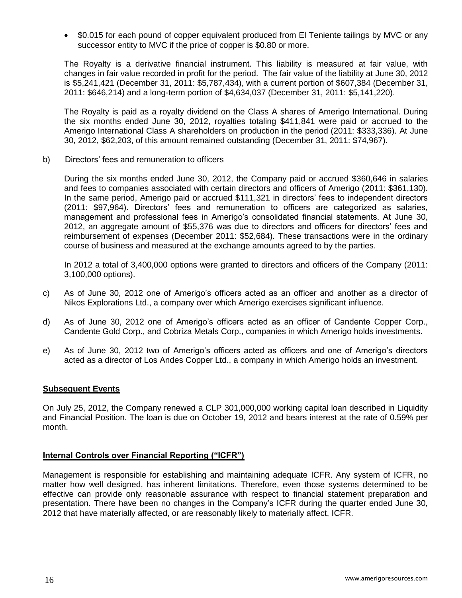\$0.015 for each pound of copper equivalent produced from El Teniente tailings by MVC or any successor entity to MVC if the price of copper is \$0.80 or more.

The Royalty is a derivative financial instrument. This liability is measured at fair value, with changes in fair value recorded in profit for the period. The fair value of the liability at June 30, 2012 is \$5,241,421 (December 31, 2011: \$5,787,434), with a current portion of \$607,384 (December 31, 2011: \$646,214) and a long-term portion of \$4,634,037 (December 31, 2011: \$5,141,220).

The Royalty is paid as a royalty dividend on the Class A shares of Amerigo International. During the six months ended June 30, 2012, royalties totaling \$411,841 were paid or accrued to the Amerigo International Class A shareholders on production in the period (2011: \$333,336). At June 30, 2012, \$62,203, of this amount remained outstanding (December 31, 2011: \$74,967).

b) Directors' fees and remuneration to officers

During the six months ended June 30, 2012, the Company paid or accrued \$360,646 in salaries and fees to companies associated with certain directors and officers of Amerigo (2011: \$361,130). In the same period, Amerigo paid or accrued \$111,321 in directors' fees to independent directors (2011: \$97,964). Directors' fees and remuneration to officers are categorized as salaries, management and professional fees in Amerigo's consolidated financial statements. At June 30, 2012, an aggregate amount of \$55,376 was due to directors and officers for directors' fees and reimbursement of expenses (December 2011: \$52,684). These transactions were in the ordinary course of business and measured at the exchange amounts agreed to by the parties.

In 2012 a total of 3,400,000 options were granted to directors and officers of the Company (2011: 3,100,000 options).

- c) As of June 30, 2012 one of Amerigo's officers acted as an officer and another as a director of Nikos Explorations Ltd., a company over which Amerigo exercises significant influence.
- d) As of June 30, 2012 one of Amerigo's officers acted as an officer of Candente Copper Corp., Candente Gold Corp., and Cobriza Metals Corp., companies in which Amerigo holds investments.
- e) As of June 30, 2012 two of Amerigo's officers acted as officers and one of Amerigo's directors acted as a director of Los Andes Copper Ltd., a company in which Amerigo holds an investment.

# **Subsequent Events**

On July 25, 2012, the Company renewed a CLP 301,000,000 working capital loan described in Liquidity and Financial Position. The loan is due on October 19, 2012 and bears interest at the rate of 0.59% per month.

### **Internal Controls over Financial Reporting ("ICFR")**

Management is responsible for establishing and maintaining adequate ICFR. Any system of ICFR, no matter how well designed, has inherent limitations. Therefore, even those systems determined to be effective can provide only reasonable assurance with respect to financial statement preparation and presentation. There have been no changes in the Company's ICFR during the quarter ended June 30, 2012 that have materially affected, or are reasonably likely to materially affect, ICFR.